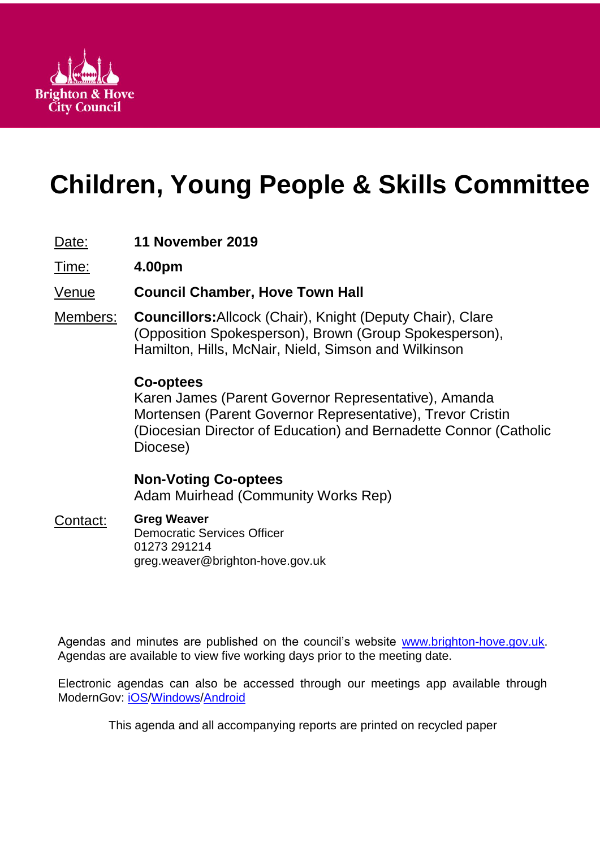

# **Children, Young People & Skills Committee**

# Date: **11 November 2019**

Time: **4.00pm**

# Venue **Council Chamber, Hove Town Hall**

Members: **Councillors:**Allcock (Chair), Knight (Deputy Chair), Clare (Opposition Spokesperson), Brown (Group Spokesperson), Hamilton, Hills, McNair, Nield, Simson and Wilkinson

# **Co-optees**

Karen James (Parent Governor Representative), Amanda Mortensen (Parent Governor Representative), Trevor Cristin (Diocesian Director of Education) and Bernadette Connor (Catholic Diocese)

# **Non-Voting Co-optees** Adam Muirhead (Community Works Rep)

# Contact: **Greg Weaver**

Democratic Services Officer 01273 291214 greg.weaver@brighton-hove.gov.uk

Agendas and minutes are published on the council's website [www.brighton-hove.gov.uk.](http://www.brighton-hove.gov.uk/) Agendas are available to view five working days prior to the meeting date.

Electronic agendas can also be accessed through our meetings app available through ModernGov: [iOS](https://play.google.com/store/apps/details?id=uk.co.moderngov.modgov&hl=en_GB)[/Windows/](https://www.microsoft.com/en-gb/p/modgov/9nblggh0c7s7#activetab=pivot:overviewtab)[Android](https://play.google.com/store/apps/details?id=uk.co.moderngov.modgov&hl=en_GB)

This agenda and all accompanying reports are printed on recycled paper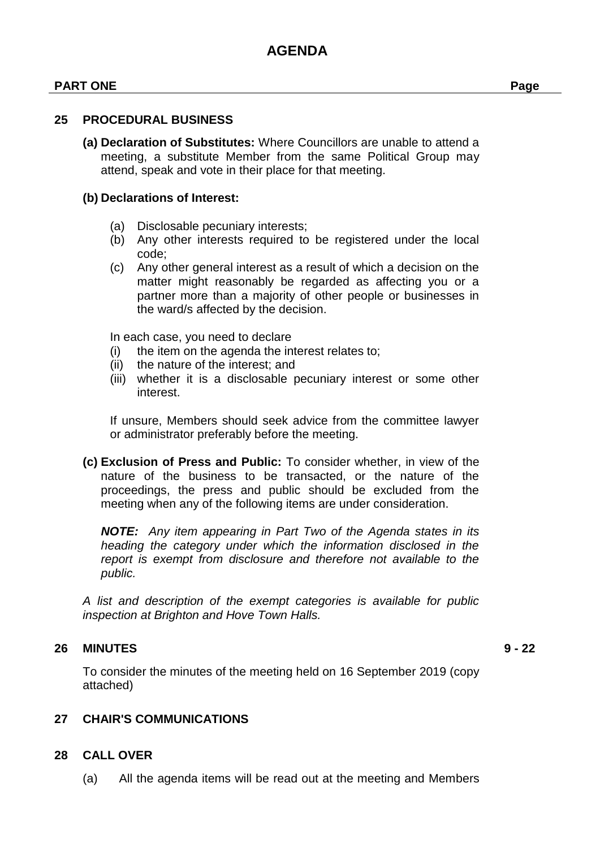#### **PART ONE Page**

#### **25 PROCEDURAL BUSINESS**

**(a) Declaration of Substitutes:** Where Councillors are unable to attend a meeting, a substitute Member from the same Political Group may attend, speak and vote in their place for that meeting.

#### **(b) Declarations of Interest:**

- (a) Disclosable pecuniary interests;
- (b) Any other interests required to be registered under the local code;
- (c) Any other general interest as a result of which a decision on the matter might reasonably be regarded as affecting you or a partner more than a majority of other people or businesses in the ward/s affected by the decision.

In each case, you need to declare

- (i) the item on the agenda the interest relates to;
- (ii) the nature of the interest; and
- (iii) whether it is a disclosable pecuniary interest or some other interest.

If unsure, Members should seek advice from the committee lawyer or administrator preferably before the meeting.

**(c) Exclusion of Press and Public:** To consider whether, in view of the nature of the business to be transacted, or the nature of the proceedings, the press and public should be excluded from the meeting when any of the following items are under consideration.

*NOTE: Any item appearing in Part Two of the Agenda states in its heading the category under which the information disclosed in the report is exempt from disclosure and therefore not available to the public.*

*A list and description of the exempt categories is available for public inspection at Brighton and Hove Town Halls.*

#### **26 MINUTES 9 - 22**

To consider the minutes of the meeting held on 16 September 2019 (copy attached)

#### **27 CHAIR'S COMMUNICATIONS**

#### **28 CALL OVER**

(a) All the agenda items will be read out at the meeting and Members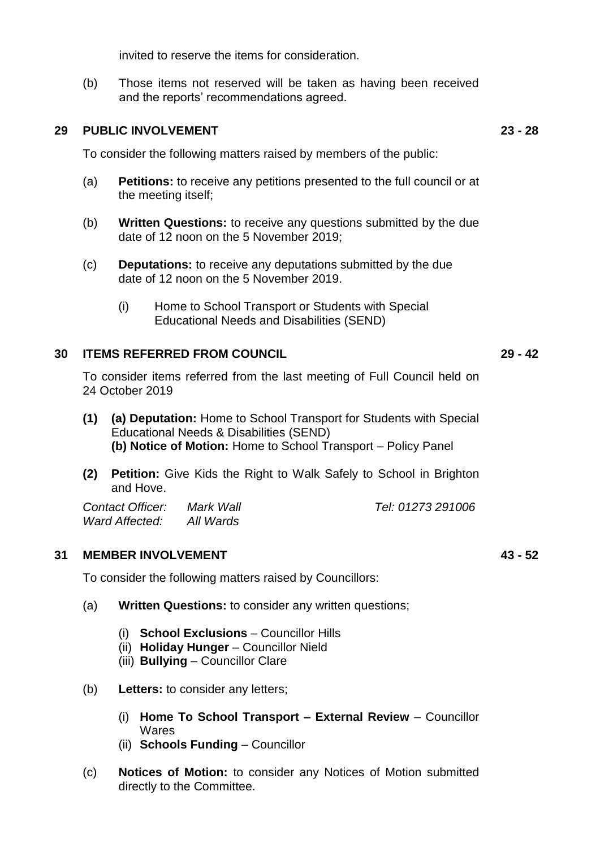invited to reserve the items for consideration.

(b) Those items not reserved will be taken as having been received and the reports' recommendations agreed.

#### **29 PUBLIC INVOLVEMENT 23 - 28**

To consider the following matters raised by members of the public:

- (a) **Petitions:** to receive any petitions presented to the full council or at the meeting itself;
- (b) **Written Questions:** to receive any questions submitted by the due date of 12 noon on the 5 November 2019;
- (c) **Deputations:** to receive any deputations submitted by the due date of 12 noon on the 5 November 2019.
	- (i) Home to School Transport or Students with Special Educational Needs and Disabilities (SEND)

#### **30 ITEMS REFERRED FROM COUNCIL 29 - 42**

To consider items referred from the last meeting of Full Council held on 24 October 2019

- **(1) (a) Deputation:** Home to School Transport for Students with Special Educational Needs & Disabilities (SEND) **(b) Notice of Motion:** Home to School Transport – Policy Panel
- **(2) Petition:** Give Kids the Right to Walk Safely to School in Brighton and Hove.

*Contact Officer: Mark Wall Tel: 01273 291006 Ward Affected: All Wards*

#### **31 MEMBER INVOLVEMENT 43 - 52**

To consider the following matters raised by Councillors:

- (a) **Written Questions:** to consider any written questions;
	- (i) **School Exclusions** Councillor Hills
	- (ii) **Holiday Hunger** Councillor Nield
	- (iii) **Bullying** Councillor Clare
- (b) **Letters:** to consider any letters;
	- (i) **Home To School Transport – External Review** Councillor Wares
	- (ii) **Schools Funding** Councillor
- (c) **Notices of Motion:** to consider any Notices of Motion submitted directly to the Committee.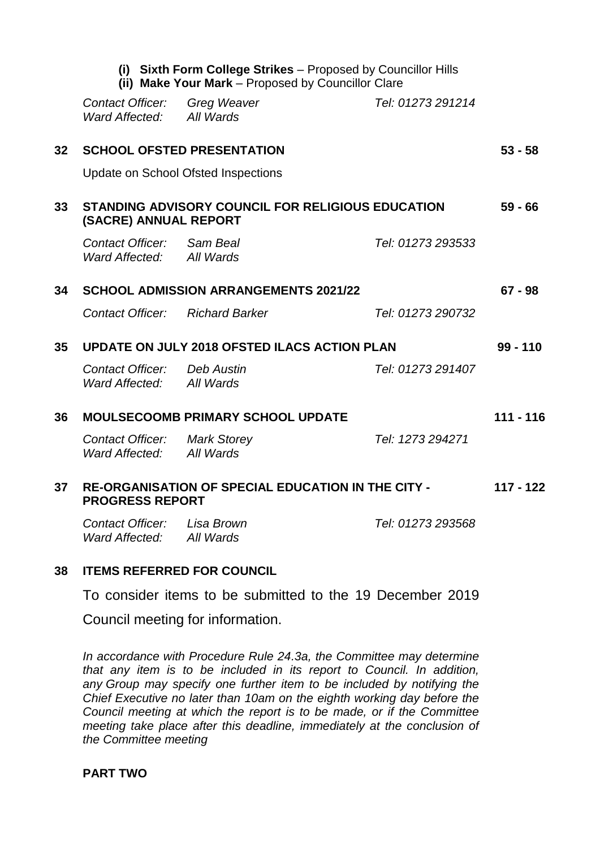|                 |                                                                                     | (ii) Make Your Mark - Proposed by Councillor Clare | (i) Sixth Form College Strikes - Proposed by Councillor Hills |             |
|-----------------|-------------------------------------------------------------------------------------|----------------------------------------------------|---------------------------------------------------------------|-------------|
|                 | Contact Officer:<br>Ward Affected:                                                  | <b>Greg Weaver</b><br>All Wards                    | Tel: 01273 291214                                             |             |
| 32              | <b>SCHOOL OFSTED PRESENTATION</b>                                                   |                                                    |                                                               | $53 - 58$   |
|                 | <b>Update on School Ofsted Inspections</b>                                          |                                                    |                                                               |             |
| 33              | STANDING ADVISORY COUNCIL FOR RELIGIOUS EDUCATION<br>(SACRE) ANNUAL REPORT          |                                                    |                                                               | $59 - 66$   |
|                 | Contact Officer: Sam Beal<br>Ward Affected: All Wards                               |                                                    | Tel: 01273 293533                                             |             |
| 34              | <b>SCHOOL ADMISSION ARRANGEMENTS 2021/22</b>                                        |                                                    |                                                               | $67 - 98$   |
|                 | <b>Contact Officer:</b> Richard Barker                                              |                                                    | Tel: 01273 290732                                             |             |
| 35 <sub>5</sub> | UPDATE ON JULY 2018 OFSTED ILACS ACTION PLAN                                        |                                                    |                                                               | $99 - 110$  |
|                 | <b>Contact Officer:</b> Deb Austin<br>Ward Affected: All Wards                      |                                                    | Tel: 01273 291407                                             |             |
| 36              | <b>MOULSECOOMB PRIMARY SCHOOL UPDATE</b>                                            |                                                    |                                                               | $111 - 116$ |
|                 | <b>Contact Officer:</b> Mark Storey<br>Ward Affected:                               | All Wards                                          | Tel: 1273 294271                                              |             |
| 37              | <b>RE-ORGANISATION OF SPECIAL EDUCATION IN THE CITY -</b><br><b>PROGRESS REPORT</b> |                                                    |                                                               | $117 - 122$ |
|                 | Contact Officer: Lisa Brown<br>Ward Affected: All Wards                             |                                                    | Tel: 01273 293568                                             |             |
|                 |                                                                                     |                                                    |                                                               |             |

#### **38 ITEMS REFERRED FOR COUNCIL**

To consider items to be submitted to the 19 December 2019

Council meeting for information.

*In accordance with Procedure Rule 24.3a, the Committee may determine that any item is to be included in its report to Council. In addition, any Group may specify one further item to be included by notifying the Chief Executive no later than 10am on the eighth working day before the Council meeting at which the report is to be made, or if the Committee meeting take place after this deadline, immediately at the conclusion of the Committee meeting*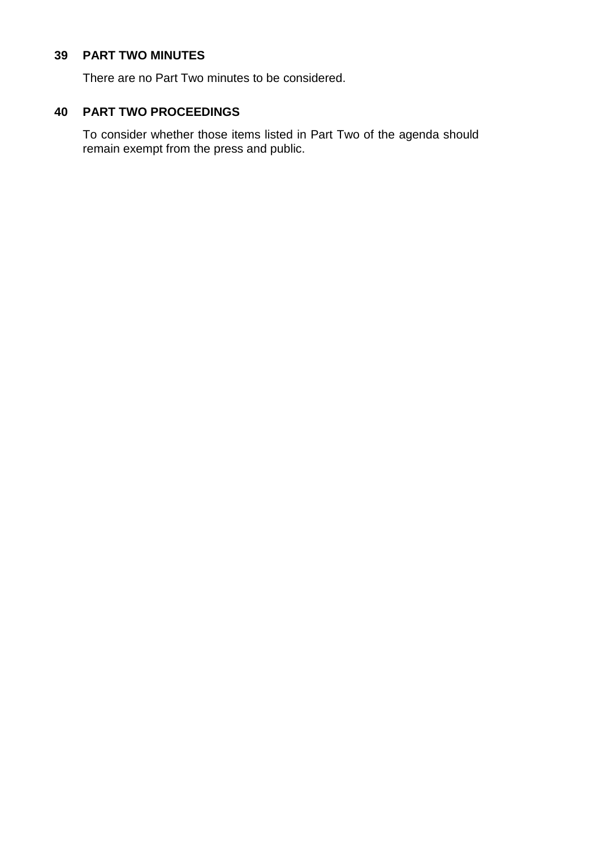#### **39 PART TWO MINUTES**

There are no Part Two minutes to be considered.

### **40 PART TWO PROCEEDINGS**

To consider whether those items listed in Part Two of the agenda should remain exempt from the press and public.